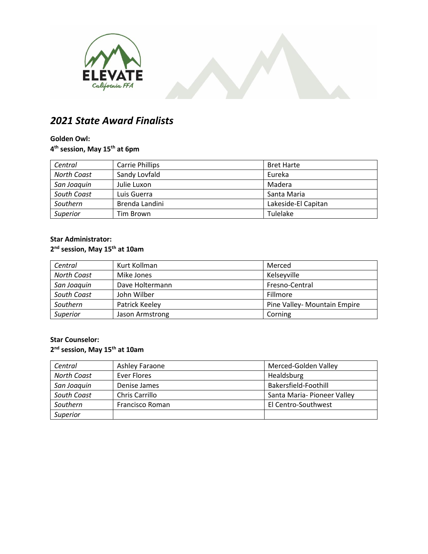



# *2021 State Award Finalists*

#### **Golden Owl:**

**4 th session, May 15th at 6pm**

| Central            | <b>Carrie Phillips</b> | <b>Bret Harte</b>   |
|--------------------|------------------------|---------------------|
| <b>North Coast</b> | Sandy Lovfald          | Eureka              |
| San Joaquin        | Julie Luxon            | Madera              |
| South Coast        | Luis Guerra            | Santa Maria         |
| Southern           | Brenda Landini         | Lakeside-El Capitan |
| Superior           | Tim Brown              | Tulelake            |

## **Star Administrator:**

#### **2 nd session, May 15th at 10am**

| Central            | Kurt Kollman    | Merced                       |
|--------------------|-----------------|------------------------------|
| <b>North Coast</b> | Mike Jones      | Kelseyville                  |
| San Joaquin        | Dave Holtermann | Fresno-Central               |
| South Coast        | John Wilber     | Fillmore                     |
| Southern           | Patrick Keeley  | Pine Valley- Mountain Empire |
| Superior           | Jason Armstrong | Corning                      |

#### **Star Counselor:**

#### **2 nd session, May 15th at 10am**

| Central            | Ashley Faraone  | Merced-Golden Valley        |
|--------------------|-----------------|-----------------------------|
| <b>North Coast</b> | Ever Flores     | Healdsburg                  |
| San Joaquin        | Denise James    | Bakersfield-Foothill        |
| South Coast        | Chris Carrillo  | Santa Maria- Pioneer Valley |
| Southern           | Francisco Roman | El Centro-Southwest         |
| Superior           |                 |                             |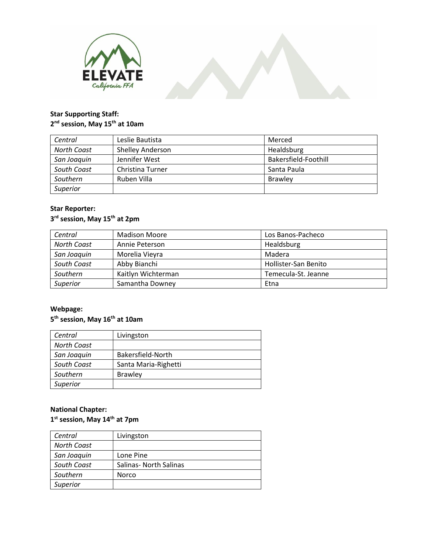



### **Star Supporting Staff: 2 nd session, May 15th at 10am**

| Central     | Leslie Bautista  | Merced               |
|-------------|------------------|----------------------|
| North Coast | Shelley Anderson | Healdsburg           |
| San Joaquin | Jennifer West    | Bakersfield-Foothill |
| South Coast | Christina Turner | Santa Paula          |
| Southern    | Ruben Villa      | <b>Brawley</b>       |
| Superior    |                  |                      |

#### **Star Reporter:**

#### **3 rd session, May 15th at 2pm**

| Central            | <b>Madison Moore</b> | Los Banos-Pacheco    |
|--------------------|----------------------|----------------------|
| <b>North Coast</b> | Annie Peterson       | Healdsburg           |
| San Joaquin        | Morelia Vieyra       | Madera               |
| South Coast        | Abby Bianchi         | Hollister-San Benito |
| Southern           | Kaitlyn Wichterman   | Temecula-St. Jeanne  |
| Superior           | Samantha Downey      | Etna                 |

### **Webpage:**

#### **5 th session, May 16th at 10am**

| Central            | Livingston           |
|--------------------|----------------------|
| <b>North Coast</b> |                      |
| San Joaquin        | Bakersfield-North    |
| South Coast        | Santa Maria-Righetti |
| Southern           | <b>Brawley</b>       |
| Superior           |                      |

### **National Chapter:**

#### **1 st session, May 14th at 7pm**

| Central            | Livingston             |
|--------------------|------------------------|
| <b>North Coast</b> |                        |
| San Joaquin        | Lone Pine              |
| South Coast        | Salinas- North Salinas |
| Southern           | Norco                  |
| Superior           |                        |